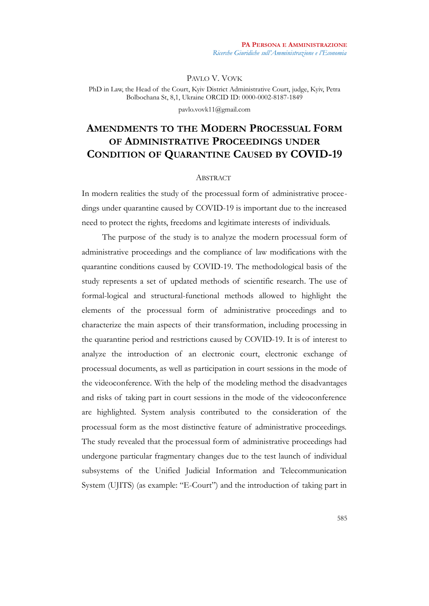PAVLO V. VOVK

PhD in Law, the Head of the Court, Kyiv District Administrative Court, judge, Kyiv, Petra Bolbochana St, 8,1, Ukraine ORCID ID: 0000-0002-8187-1849

pavlo.vovk11@gmail.com

# **AMENDMENTS TO THE MODERN PROCESSUAL FORM OF ADMINISTRATIVE PROCEEDINGS UNDER CONDITION OF QUARANTINE CAUSED BY COVID-19**

## **ABSTRACT**

In modern realities the study of the processual form of administrative proceedings under quarantine caused by COVID-19 is important due to the increased need to protect the rights, freedoms and legitimate interests of individuals.

The purpose of the study is to analyze the modern processual form of administrative proceedings and the compliance of law modifications with the quarantine conditions caused by COVID-19. The methodological basis of the study represents a set of updated methods of scientific research. The use of formal-logical and structural-functional methods allowed to highlight the elements of the processual form of administrative proceedings and to characterize the main aspects of their transformation, including processing in the quarantine period and restrictions caused by COVID-19. It is of interest to analyze the introduction of an electronic court, electronic exchange of processual documents, as well as participation in court sessions in the mode of the videoconference. With the help of the modeling method the disadvantages and risks of taking part in court sessions in the mode of the videoconference are highlighted. System analysis contributed to the consideration of the processual form as the most distinctive feature of administrative proceedings. The study revealed that the processual form of administrative proceedings had undergone particular fragmentary changes due to the test launch of individual subsystems of the Unified Judicial Information and Telecommunication System (UJITS) (as example: "E-Court") and the introduction of taking part in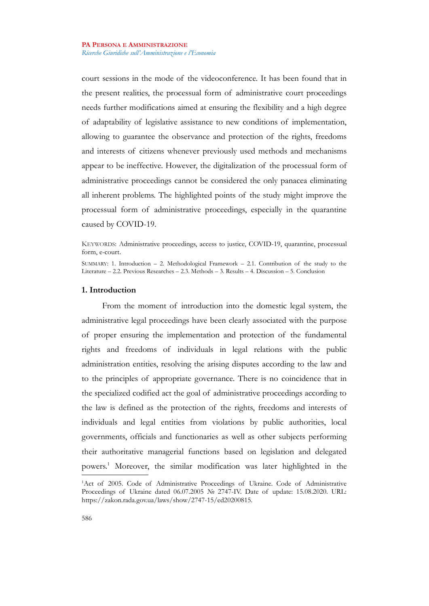court sessions in the mode of the videoconference. It has been found that in the present realities, the processual form of administrative court proceedings needs further modifications aimed at ensuring the flexibility and a high degree of adaptability of legislative assistance to new conditions of implementation, allowing to guarantee the observance and protection of the rights, freedoms and interests of citizens whenever previously used methods and mechanisms appear to be ineffective. However, the digitalization of the processual form of administrative proceedings cannot be considered the only panacea eliminating all inherent problems. The highlighted points of the study might improve the processual form of administrative proceedings, especially in the quarantine caused by COVID-19.

#### **1. Introduction**

From the moment of introduction into the domestic legal system, the administrative legal proceedings have been clearly associated with the purpose of proper ensuring the implementation and protection of the fundamental rights and freedoms of individuals in legal relations with the public administration entities, resolving the arising disputes according to the law and to the principles of appropriate governance. There is no coincidence that in the specialized codified act the goal of administrative proceedings according to the law is defined as the protection of the rights, freedoms and interests of individuals and legal entities from violations by public authorities, local governments, officials and functionaries as well as other subjects performing their authoritative managerial functions based on legislation and delegated powers.[1](#page-1-0) Moreover, the similar modification was later highlighted in the

KEYWORDS: Administrative proceedings, access to justice, COVID-19, quarantine, processual form, e-court.

SUMMARY: 1. Introduction  $-2$ . Methodological Framework  $-2.1$ . Contribution of the study to the Literature – 2.2. Previous Researches – 2.3. Methods – 3. Results – 4. Discussion – 5. Conclusion

<span id="page-1-0"></span><sup>&</sup>lt;sup>1</sup>Act of 2005. Code of Administrative Proceedings of Ukraine. Code of Administrative Proceedings of Ukraine dated 06.07.2005 № 2747-IV. Date of update: 15.08.2020. URL: https://zakon.rada.gov.ua/laws/show/2747-15/ed20200815.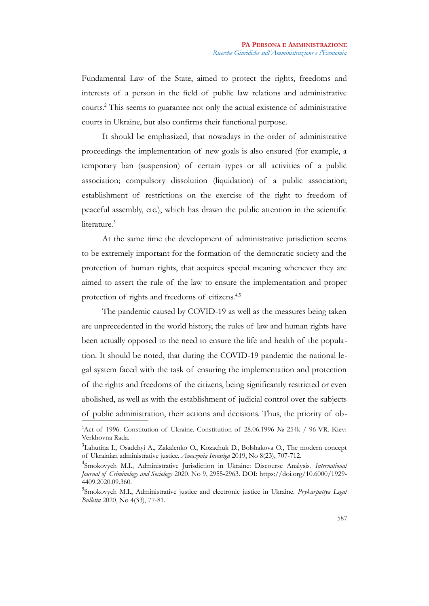Fundamental Law of the State, aimed to protect the rights, freedoms and interests of a person in the field of public law relations and administrative courts.[2](#page-2-0) This seems to guarantee not only the actual existence of administrative courts in Ukraine, but also confirms their functional purpose.

It should be emphasized, that nowadays in the order of administrative proceedings the implementation of new goals is also ensured (for example, a temporary ban (suspension) of certain types or all activities of a public association; compulsory dissolution (liquidation) of a public association; establishment of restrictions on the exercise of the right to freedom of peaceful assembly, etc.), which has drawn the public attention in the scientific literature.<sup>[3](#page-2-1)</sup>

At the same time the development of administrative jurisdiction seems to be extremely important for the formation of the democratic society and the protection of human rights, that acquires special meaning whenever they are aimed to assert the rule of the law to ensure the implementation and proper protection of rights and freedoms of citizens.<sup>[4](#page-2-2)[,5](#page-2-3)</sup>

The pandemic caused by COVID-19 as well as the measures being taken are unprecedented in the world history, the rules of law and human rights have been actually opposed to the need to ensure the life and health of the population. It should be noted, that during the COVID-19 pandemic the national legal system faced with the task of ensuring the implementation and protection of the rights and freedoms of the citizens, being significantly restricted or even abolished, as well as with the establishment of judicial control over the subjects of public administration, their actions and decisions. Thus, the priority of ob-

<span id="page-2-0"></span><sup>&</sup>lt;sup>2</sup>Act of 1996. Constitution of Ukraine. Constitution of 28.06.1996 № 254k / 96-VR. Kiev: Verkhovna Rada.

<span id="page-2-1"></span><sup>&</sup>lt;sup>3</sup>Lahutina I., Osadchyi A., Zakalenko O., Kozachuk D., Bolshakova O., The modern concept of Ukrainian administrative justice. *Amazonia Investiga* 2019, No 8(23), 707-712.

<span id="page-2-2"></span><sup>4</sup> Smokovych M.I., Administrative Jurisdiction in Ukraine: Discourse Analysis. *International Journal of Criminology and Sociology* 2020, No 9, 2955-2963. DOI: https://doi.org/10.6000/1929- 4409.2020.09.360.

<span id="page-2-3"></span><sup>5</sup> Smokovych M.I., Administrative justice and electronic justice in Ukraine. *Prykarpattya Legal Bulletin* 2020, No 4(33), 77-81.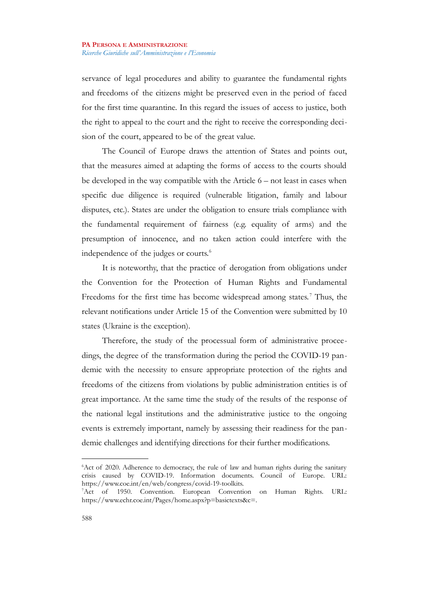servance of legal procedures and ability to guarantee the fundamental rights and freedoms of the citizens might be preserved even in the period of faced for the first time quarantine. In this regard the issues of access to justice, both the right to appeal to the court and the right to receive the corresponding decision of the court, appeared to be of the great value.

The Council of Europe draws the attention of States and points out, that the measures aimed at adapting the forms of access to the courts should be developed in the way compatible with the Article 6 – not least in cases when specific due diligence is required (vulnerable litigation, family and labour disputes, etc.). States are under the obligation to ensure trials compliance with the fundamental requirement of fairness (e.g. equality of arms) and the presumption of innocence, and no taken action could interfere with the independence of the judges or courts.<sup>[6](#page-3-0)</sup>

It is noteworthy, that the practice of derogation from obligations under the Convention for the Protection of Human Rights and Fundamental Freedoms for the first time has become widespread among states.<sup>[7](#page-3-1)</sup> Thus, the relevant notifications under Article 15 of the Convention were submitted by 10 states (Ukraine is the exception).

Therefore, the study of the processual form of administrative proceedings, the degree of the transformation during the period the COVID-19 pandemic with the necessity to ensure appropriate protection of the rights and freedoms of the citizens from violations by public administration entities is of great importance. At the same time the study of the results of the response of the national legal institutions and the administrative justice to the ongoing events is extremely important, namely by assessing their readiness for the pandemic challenges and identifying directions for their further modifications.

<span id="page-3-0"></span><sup>&</sup>lt;sup>6</sup>Act of 2020. Adherence to democracy, the rule of law and human rights during the sanitary crisis caused by COVID-19. Information documents. Council of Europe. URL: https://www.coe.int/en/web/congress/covid-19-toolkits.

<span id="page-3-1"></span><sup>7</sup>Act of 1950. Convention. European Convention on Human Rights. URL: https://www.echr.coe.int/Pages/home.aspx?p=basictexts&c=.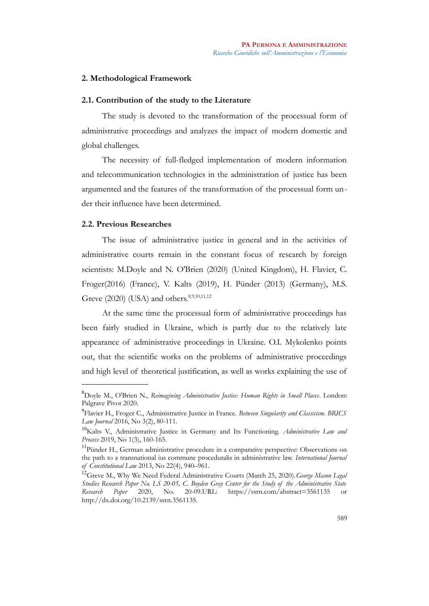# **2. Methodological Framework**

## **2.1. Contribution of the study to the Literature**

The study is devoted to the transformation of the processual form of administrative proceedings and analyzes the impact of modern domestic and global challenges.

The necessity of full-fledged implementation of modern information and telecommunication technologies in the administration of justice has been argumented and the features of the transformation of the processual form under their influence have been determined.

# **2.2. Previous Researches**

The issue of administrative justice in general and in the activities of administrative courts remain in the constant focus of research by foreign scientists: M.Doyle and N. O'Brien (2020) (United Kingdom), H. Flavier, C. Froger(2016) (France), V. Kalts (2019), H. Pünder (2013) (Germany), M.S. Greve (2020) (USA) and others.<sup>[8](#page-4-0)[,9](#page-4-1)[,10](#page-4-2)[,11](#page-4-3)[,12](#page-4-4)</sup>

At the same time the processual form of administrative proceedings has been fairly studied in Ukraine, which is partly due to the relatively late appearance of administrative proceedings in Ukraine. O.I. Mykolenko points out, that the scientific works on the problems of administrative proceedings and high level of theoretical justification, as well as works explaining the use of

<span id="page-4-0"></span><sup>8</sup>Doyle M., O'Brien N., *Reimagining Administrative Justice: Human Rights in Small Places*. London: Palgrave Pivot 2020.

<span id="page-4-1"></span><sup>9</sup> Flavier H., Froger C., Administrative Justice in France. *Between Singularity and Classicism. BRICS Law Journal* 2016, No 3(2), 80-111.

<span id="page-4-2"></span><sup>10</sup>Kalts V., Administrative Justice in Germany and Its Functioning. *Administrative Law and Process* 2019, No 1(3), 160-165.

<span id="page-4-3"></span><sup>&</sup>lt;sup>11</sup>Pünder H., German administrative procedure in a comparative perspective: Observations on the path to a transnational ius commune proceduralis in administrative law. *International Journal of Constitutional Law* 2013, No 22(4), 940–961.

<span id="page-4-4"></span><sup>12</sup>Greve M., Why We Need Federal Administrative Courts (March 25, 2020).*George Mason Legal Studies Research Paper No. LS 20-05, C. Boyden Gray Center for the Study of the Administrative State Research Paper* 2020, No. 20-09.URL: https://ssrn.com/abstract=3561135 or http://dx.doi.org/10.2139/ssrn.3561135.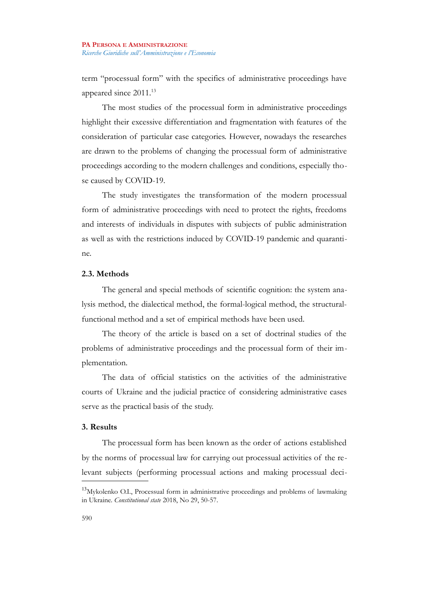term "processual form" with the specifics of administrative proceedings have appeared since 2011.[13](#page-5-0)

The most studies of the processual form in administrative proceedings highlight their excessive differentiation and fragmentation with features of the consideration of particular case categories. However, nowadays the researches are drawn to the problems of changing the processual form of administrative proceedings according to the modern challenges and conditions, especially those caused by COVID-19.

The study investigates the transformation of the modern processual form of administrative proceedings with need to protect the rights, freedoms and interests of individuals in disputes with subjects of public administration as well as with the restrictions induced by COVID-19 pandemic and quarantine.

# **2.3. Methods**

The general and special methods of scientific cognition: the system analysis method, the dialectical method, the formal-logical method, the structuralfunctional method and a set of empirical methods have been used.

The theory of the article is based on a set of doctrinal studies of the problems of administrative proceedings and the processual form of their implementation.

The data of official statistics on the activities of the administrative courts of Ukraine and the judicial practice of considering administrative cases serve as the practical basis of the study.

# **3. Results**

The processual form has been known as the order of actions established by the norms of processual law for carrying out processual activities of the relevant subjects (performing processual actions and making processual deci-

<span id="page-5-0"></span><sup>&</sup>lt;sup>13</sup>Mykolenko O.I., Processual form in administrative proceedings and problems of lawmaking in Ukraine. *Constitutional state* 2018, No 29, 50-57.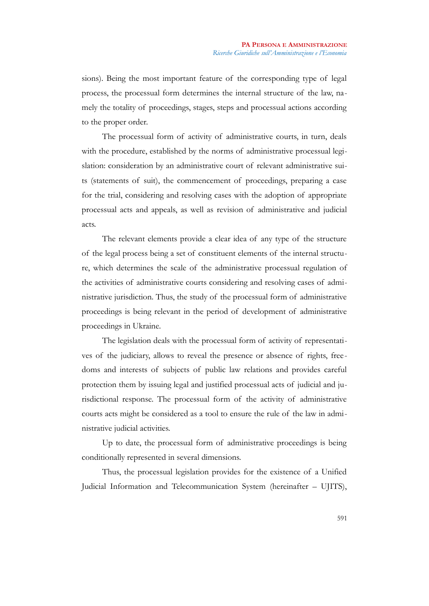sions). Being the most important feature of the corresponding type of legal process, the processual form determines the internal structure of the law, namely the totality of proceedings, stages, steps and processual actions according to the proper order.

The processual form of activity of administrative courts, in turn, deals with the procedure, established by the norms of administrative processual legislation: consideration by an administrative court of relevant administrative suits (statements of suit), the commencement of proceedings, preparing a case for the trial, considering and resolving cases with the adoption of appropriate processual acts and appeals, as well as revision of administrative and judicial acts.

The relevant elements provide a clear idea of any type of the structure of the legal process being a set of constituent elements of the internal structure, which determines the scale of the administrative processual regulation of the activities of administrative courts considering and resolving cases of administrative jurisdiction. Thus, the study of the processual form of administrative proceedings is being relevant in the period of development of administrative proceedings in Ukraine.

The legislation deals with the processual form of activity of representatives of the judiciary, allows to reveal the presence or absence of rights, free doms and interests of subjects of public law relations and provides careful protection them by issuing legal and justified processual acts of judicial and jurisdictional response. The processual form of the activity of administrative courts acts might be considered as a tool to ensure the rule of the law in administrative judicial activities.

Up to date, the processual form of administrative proceedings is being conditionally represented in several dimensions.

Thus, the processual legislation provides for the existence of a Unified Judicial Information and Telecommunication System (hereinafter – UJITS),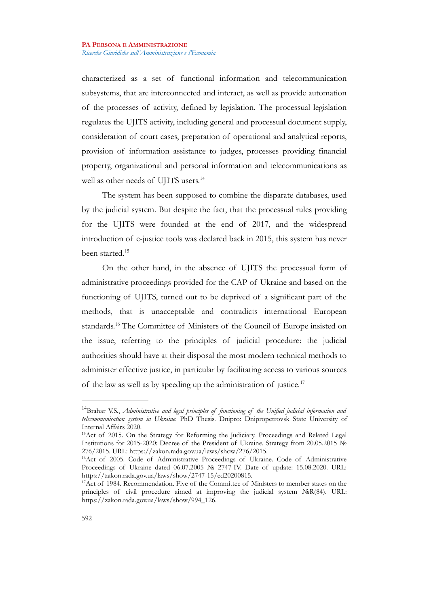characterized as a set of functional information and telecommunication subsystems, that are interconnected and interact, as well as provide automation of the processes of activity, defined by legislation. The processual legislation regulates the UJITS activity, including general and processual document supply, consideration of court cases, preparation of operational and analytical reports, provision of information assistance to judges, processes providing financial property, organizational and personal information and telecommunications as well as other needs of UJITS users.<sup>[14](#page-7-0)</sup>

The system has been supposed to combine the disparate databases, used by the judicial system. But despite the fact, that the processual rules providing for the UJITS were founded at the end of 2017, and the widespread introduction of e-justice tools was declared back in 2015, this system has never been started.[15](#page-7-1)

On the other hand, in the absence of UJITS the processual form of administrative proceedings provided for the CAP of Ukraine and based on the functioning of UJITS, turned out to be deprived of a significant part of the methods, that is unacceptable and contradicts international European standards.[16](#page-7-2) The Committee of Ministers of the Council of Europe insisted on the issue, referring to the principles of judicial procedure: the judicial authorities should have at their disposal the most modern technical methods to administer effective justice, in particular by facilitating access to various sources of the law as well as by speeding up the administration of justice.[17](#page-7-3)

<span id="page-7-0"></span><sup>14</sup>Brahar V.S., *Administrative and legal principles of functioning of the Unified judicial information and telecommunication system in Ukraine*: PhD Thesis. Dnipro: Dnipropetrovsk State University of Internal Affairs 2020.

<span id="page-7-1"></span><sup>&</sup>lt;sup>15</sup>Act of 2015. On the Strategy for Reforming the Judiciary. Proceedings and Related Legal Institutions for 2015-2020: Decree of the President of Ukraine. Strategy from 20.05.2015 № 276/2015. URL: https://zakon.rada.gov.ua/laws/show/276/2015.

<span id="page-7-2"></span><sup>&</sup>lt;sup>16</sup>Act of 2005. Code of Administrative Proceedings of Ukraine. Code of Administrative Proceedings of Ukraine dated 06.07.2005 № 2747-IV. Date of update: 15.08.2020. URL: https://zakon.rada.gov.ua/laws/show/2747-15/ed20200815.

<span id="page-7-3"></span><sup>&</sup>lt;sup>17</sup>Act of 1984. Recommendation. Five of the Committee of Ministers to member states on the principles of civil procedure aimed at improving the judicial system NoR(84). URL: https://zakon.rada.gov.ua/laws/show/994\_126.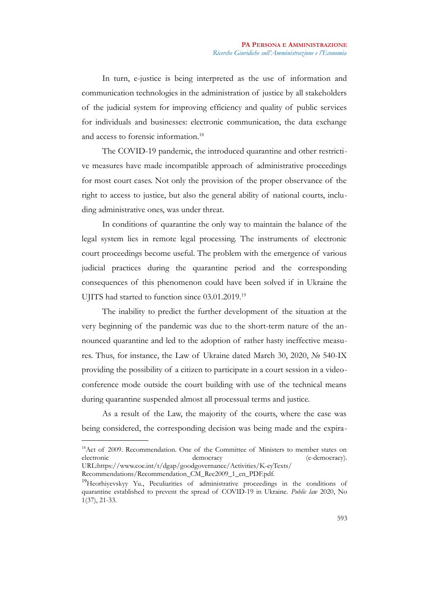In turn, e-justice is being interpreted as the use of information and communication technologies in the administration of justice by all stakeholders of the judicial system for improving efficiency and quality of public services for individuals and businesses: electronic communication, the data exchange and access to forensic information.<sup>[18](#page-8-0)</sup>

The COVID-19 pandemic, the introduced quarantine and other restrictive measures have made incompatible approach of administrative proceedings for most court cases. Not only the provision of the proper observance of the right to access to justice, but also the general ability of national courts, including administrative ones, was under threat.

In conditions of quarantine the only way to maintain the balance of the legal system lies in remote legal processing. The instruments of electronic court proceedings become useful. The problem with the emergence of various judicial practices during the quarantine period and the corresponding consequences of this phenomenon could have been solved if in Ukraine the UJITS had started to function since 03.01.2019.[19](#page-8-1)

The inability to predict the further development of the situation at the very beginning of the pandemic was due to the short-term nature of the announced quarantine and led to the adoption of rather hasty ineffective measures. Thus, for instance, the Law of Ukraine dated March 30, 2020, № 540-IX providing the possibility of a citizen to participate in a court session in a videoconference mode outside the court building with use of the technical means during quarantine suspended almost all processual terms and justice.

As a result of the Law, the majority of the courts, where the case was being considered, the corresponding decision was being made and the expira-

<span id="page-8-0"></span><sup>&</sup>lt;sup>18</sup>Act of 2009. Recommendation. One of the Committee of Ministers to member states on electronic  $\frac{1}{2}$  (e-democracy). democracy (e-democracy). URL:https://www.coe.int/t/dgap/goodgovernance/Activities/K-eyTexts/

Recommendations/Recommendation\_CM\_Rec2009\_1\_en\_PDF.pdf.

<span id="page-8-1"></span><sup>&</sup>lt;sup>19</sup>Heorhiyevskyy Yu., Peculiarities of administrative proceedings in the conditions of quarantine established to prevent the spread of COVID-19 in Ukraine. *Public law* 2020, No 1(37), 21-33.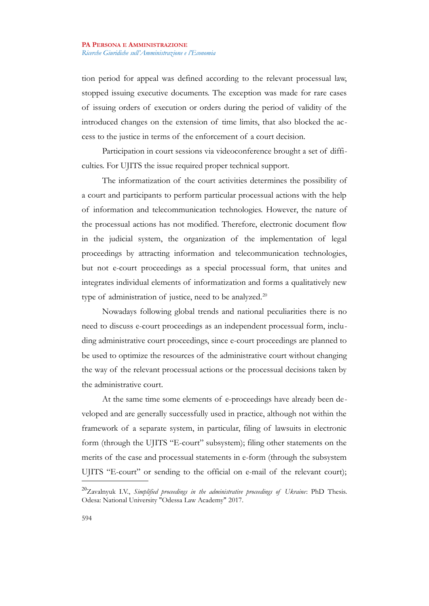tion period for appeal was defined according to the relevant processual law, stopped issuing executive documents. The exception was made for rare cases of issuing orders of execution or orders during the period of validity of the introduced changes on the extension of time limits, that also blocked the access to the justice in terms of the enforcement of a court decision.

Participation in court sessions via videoconference brought a set of difficulties. For UJITS the issue required proper technical support.

The informatization of the court activities determines the possibility of a court and participants to perform particular processual actions with the help of information and telecommunication technologies. However, the nature of the processual actions has not modified. Therefore, electronic document flow in the judicial system, the organization of the implementation of legal proceedings by attracting information and telecommunication technologies, but not e-court proceedings as a special processual form, that unites and integrates individual elements of informatization and forms a qualitatively new type of administration of justice, need to be analyzed.<sup>[20](#page-9-0)</sup>

Nowadays following global trends and national peculiarities there is no need to discuss e-court proceedings as an independent processual form, including administrative court proceedings, since e-court proceedings are planned to be used to optimize the resources of the administrative court without changing the way of the relevant processual actions or the processual decisions taken by the administrative court.

At the same time some elements of e-proceedings have already been developed and are generally successfully used in practice, although not within the framework of a separate system, in particular, filing of lawsuits in electronic form (through the UJITS "E-court" subsystem); filing other statements on the merits of the case and processual statements in e-form (through the subsystem UJITS "E-court" or sending to the official on e-mail of the relevant court);

<span id="page-9-0"></span><sup>20</sup>Zavalnyuk I.V., *Simplified proceedings in the administrative proceedings of Ukraine*: PhD Thesis. Odesa: National University "Odessa Law Academy" 2017.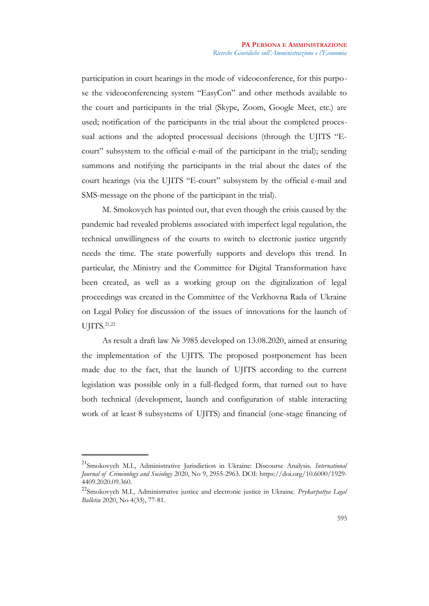participation in court hearings in the mode of videoconference, for this purpose the videoconferencing system "EasyCon" and other methods available to the court and participants in the trial (Skype, Zoom, Google Meet, etc.) are used; notification of the participants in the trial about the completed processual actions and the adopted processual decisions (through the UJITS "Ecourt" subsystem to the official e-mail of the participant in the trial); sending summons and notifying the participants in the trial about the dates of the court hearings (via the UJITS "E-court" subsystem by the official e-mail and SMS-message on the phone of the participant in the trial).

M. Smokovych has pointed out, that even though the crisis caused by the pandemic had revealed problems associated with imperfect legal regulation, the technical unwillingness of the courts to switch to electronic justice urgently needs the time. The state powerfully supports and develops this trend. In particular, the Ministry and the Committee for Digital Transformation have been created, as well as a working group on the digitalization of legal proceedings was created in the Committee of the Verkhovna Rada of Ukraine on Legal Policy for discussion of the issues of innovations for the launch of UJITS.<sup>[21,](#page-10-0)[22](#page-10-1)</sup>

As result a draft law № 3985 developed on 13.08.2020, aimed at ensuring the implementation of the UJITS. The proposed postponement has been made due to the fact, that the launch of UJITS according to the current legislation was possible only in a full-fledged form, that turned out to have both technical (development, launch and configuration of stable interacting work of at least 8 subsystems of UJITS) and financial (one-stage financing of

<span id="page-10-0"></span><sup>21</sup>Smokovych M.I., Administrative Jurisdiction in Ukraine: Discourse Analysis. *International Journal of Criminology and Sociology* 2020, No 9, 2955-2963. DOI: https://doi.org/10.6000/1929- 4409.2020.09.360.

<span id="page-10-1"></span><sup>22</sup>Smokovych M.I., Administrative justice and electronic justice in Ukraine. *Prykarpattya Legal Bulletin* 2020, No 4(33), 77-81.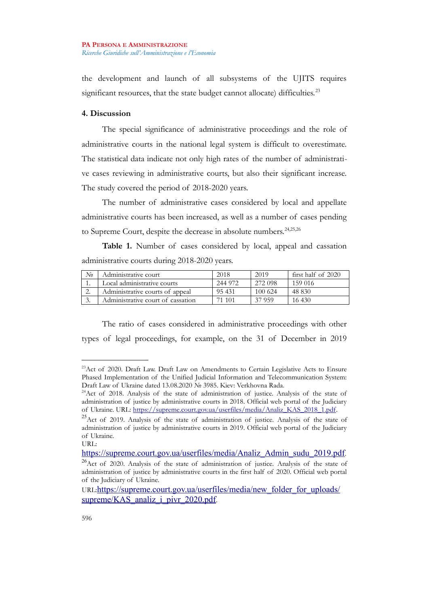the development and launch of all subsystems of the UJITS requires significant resources, that the state budget cannot allocate) difficulties.<sup>[23](#page-11-0)</sup>

# **4. Discussion**

The special significance of administrative proceedings and the role of administrative courts in the national legal system is difficult to overestimate. The statistical data indicate not only high rates of the number of administrative cases reviewing in administrative courts, but also their significant increase. The study covered the period of 2018-2020 years.

The number of administrative cases considered by local and appellate administrative courts has been increased, as well as a number of cases pending to Supreme Court, despite the decrease in absolute numbers.[24](#page-11-1)[,25](#page-11-2)[,26](#page-11-3)

**Table 1.** Number of cases considered by local, appeal and cassation administrative courts during 2018-2020 years.

| No  | Administrative court              | 2018    | 2019    | first half of 2020 |
|-----|-----------------------------------|---------|---------|--------------------|
| . . | Local administrative courts       | 244 972 | 272 098 | 159 016            |
| ٠.  | Administrative courts of appeal   | 95431   | 100 624 | 48 830             |
| .   | Administrative court of cassation | 101     | 37 959  | 16.430             |

The ratio of cases considered in administrative proceedings with other types of legal proceedings, for example, on the 31 of December in 2019

<span id="page-11-0"></span><sup>&</sup>lt;sup>23</sup>Act of 2020. Draft Law. Draft Law on Amendments to Certain Legislative Acts to Ensure Phased Implementation of the Unified Judicial Information and Telecommunication System: Draft Law of Ukraine dated 13.08.2020 № 3985. Kiev: Verkhovna Rada.

<span id="page-11-1"></span><sup>&</sup>lt;sup>24</sup>Act of 2018. Analysis of the state of administration of justice. Analysis of the state of administration of justice by administrative courts in 2018. Official web portal of the Judiciary of Ukraine. URL: [https://supreme.court.gov.ua/userfiles/media/Analiz\\_KAS\\_2018\\_1.pdf.](https://supreme.court.gov.ua/userfiles/media/Analiz_KAS_2018_1.pdf)

<span id="page-11-2"></span> $^{25}$ Act of 2019. Analysis of the state of administration of justice. Analysis of the state of administration of justice by administrative courts in 2019. Official web portal of the Judiciary of Ukraine.

URL:

<span id="page-11-3"></span>[https://supreme.court.gov.ua/userfiles/media/Analiz\\_Admin\\_sudu\\_2019.pdf](https://supreme.court.gov.ua/userfiles/media/Analiz_Admin_sudu_2019.pdf). <sup>26</sup>Act of 2020. Analysis of the state of administration of justice. Analysis of the state of administration of justice by administrative courts in the first half of 2020. Official web portal of the Judiciary of Ukraine.

URL:[https://supreme.court.gov.ua/userfiles/media/new\\_folder\\_for\\_uploads/](https://supreme.court.gov.ua/userfiles/media/new_folder_for_uploads/supreme/KAS_analiz_i_pivr_2020.pdf) [supreme/KAS\\_analiz\\_i\\_pivr\\_2020.pdf](https://supreme.court.gov.ua/userfiles/media/new_folder_for_uploads/supreme/KAS_analiz_i_pivr_2020.pdf).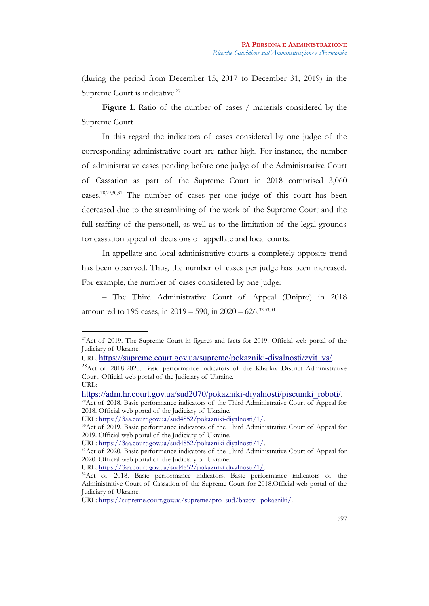(during the period from December 15, 2017 to December 31, 2019) in the Supreme Court is indicative.<sup>[27](#page-12-0)</sup>

Figure 1. Ratio of the number of cases / materials considered by the Supreme Court

In this regard the indicators of cases considered by one judge of the corresponding administrative court are rather high. For instance, the number of administrative cases pending before one judge of the Administrative Court of Cassation as part of the Supreme Court in 2018 comprised 3,060 cases.[28](#page-12-1)[,29](#page-12-2)[,30](#page-12-3)[,31](#page-12-4) The number of cases per one judge of this court has been decreased due to the streamlining of the work of the Supreme Court and the full staffing of the personell, as well as to the limitation of the legal grounds for cassation appeal of decisions of appellate and local courts.

In appellate and local administrative courts a completely opposite trend has been observed. Thus, the number of cases per judge has been increased. For example, the number of cases considered by one judge:

– The Third Administrative Court of Appeal (Dnipro) in 2018 amounted to 195 cases, in  $2019 - 590$ , in  $2020 - 626$ .<sup>[32,](#page-12-5)33,34</sup>

<span id="page-12-0"></span> $27$ Act of 2019. The Supreme Court in figures and facts for 2019. Official web portal of the Judiciary of Ukraine.

URL: [https://supreme.court.gov.ua/supreme/pokazniki-diyalnosti/zvit\\_vs/](https://supreme.court.gov.ua/supreme/pokazniki-diyalnosti/zvit_vs/).

<span id="page-12-1"></span><sup>&</sup>lt;sup>28</sup>Act of 2018-2020. Basic performance indicators of the Kharkiv District Administrative Court. Official web portal of the Judiciary of Ukraine. URL:

<span id="page-12-2"></span>[https://adm.hr.court.gov.ua/sud2070/pokazniki-diyalnosti/piscumki\\_roboti/](https://adm.hr.court.gov.ua/sud2070/pokazniki-diyalnosti/piscumki_roboti/). <sup>29</sup>Act of 2018. Basic performance indicators of the Third Administrative Court of Appeal for

<sup>2018.</sup> Official web portal of the Judiciary of Ukraine.

URL: [https://3aa.court.gov.ua/sud4852/pokazniki-diyalnosti/1/.](https://3aa.court.gov.ua/sud4852/pokazniki-diyalnosti/1/)

<span id="page-12-3"></span><sup>&</sup>lt;sup>30</sup>Act of 2019. Basic performance indicators of the Third Administrative Court of Appeal for 2019. Official web portal of the Judiciary of Ukraine.

URL: [https://3aa.court.gov.ua/sud4852/pokazniki-diyalnosti/1/.](https://3aa.court.gov.ua/sud4852/pokazniki-diyalnosti/1/)

<span id="page-12-4"></span><sup>&</sup>lt;sup>31</sup> Act of 2020. Basic performance indicators of the Third Administrative Court of Appeal for 2020. Official web portal of the Judiciary of Ukraine.

URL: [https://3aa.court.gov.ua/sud4852/pokazniki-diyalnosti/1/.](https://3aa.court.gov.ua/sud4852/pokazniki-diyalnosti/1/)

<span id="page-12-5"></span><sup>&</sup>lt;sup>32</sup>Act of 2018. Basic performance indicators. Basic performance indicators of the Administrative Court of Cassation of the Supreme Court for 2018.Official web portal of the Judiciary of Ukraine.

URL: [https://supreme.court.gov.ua/supreme/pro\\_sud/bazovi\\_pokazniki/.](https://supreme.court.gov.ua/supreme/pro_sud/bazovi_pokazniki/)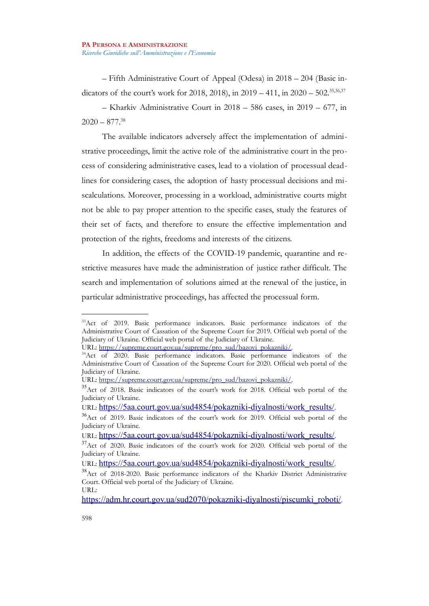– Fifth Administrative Court of Appeal (Odesa) in 2018 – 204 (Basic indicators of the court's work for 2018, 2018), in  $2019 - 411$ , in  $2020 - 502$ <sup>[35](#page-13-0)[,36](#page-13-1)[,37](#page-13-2)</sup>

– Kharkiv Administrative Court in 2018 – 586 cases, in 2019 – 677, in  $2020 - 877^{38}$  $2020 - 877^{38}$  $2020 - 877^{38}$ 

The available indicators adversely affect the implementation of administrative proceedings, limit the active role of the administrative court in the process of considering administrative cases, lead to a violation of processual deadlines for considering cases, the adoption of hasty processual decisions and miscalculations. Moreover, processing in a workload, administrative courts might not be able to pay proper attention to the specific cases, study the features of their set of facts, and therefore to ensure the effective implementation and protection of the rights, freedoms and interests of the citizens.

In addition, the effects of the COVID-19 pandemic, quarantine and restrictive measures have made the administration of justice rather difficult. The search and implementation of solutions aimed at the renewal of the justice, in particular administrative proceedings, has affected the processual form.

<sup>33</sup>Act of 2019. Basic performance indicators. Basic performance indicators of the Administrative Court of Cassation of the Supreme Court for 2019. Official web portal of the Judiciary of Ukraine. Official web portal of the Judiciary of Ukraine.

URL: [https://supreme.court.gov.ua/supreme/pro\\_sud/bazovi\\_pokazniki/.](https://supreme.court.gov.ua/supreme/pro_sud/bazovi_pokazniki/)

<sup>&</sup>lt;sup>34</sup>Act of 2020. Basic performance indicators. Basic performance indicators of the Administrative Court of Cassation of the Supreme Court for 2020. Official web portal of the Judiciary of Ukraine.

URL: [https://supreme.court.gov.ua/supreme/pro\\_sud/bazovi\\_pokazniki/.](https://supreme.court.gov.ua/supreme/pro_sud/bazovi_pokazniki/)

<span id="page-13-0"></span><sup>&</sup>lt;sup>35</sup>Act of 2018. Basic indicators of the court's work for 2018. Official web portal of the Judiciary of Ukraine.

URL: [https://5aa.court.gov.ua/sud4854/pokazniki-diyalnosti/work\\_results/](https://5aa.court.gov.ua/sud4854/pokazniki-diyalnosti/work_results/).

<span id="page-13-1"></span><sup>&</sup>lt;sup>36</sup>Act of 2019. Basic indicators of the court's work for 2019. Official web portal of the Judiciary of Ukraine.

URL: [https://5aa.court.gov.ua/sud4854/pokazniki-diyalnosti/work\\_results/](https://5aa.court.gov.ua/sud4854/pokazniki-diyalnosti/work_results/).

<span id="page-13-2"></span> $37$ Act of 2020. Basic indicators of the court's work for 2020. Official web portal of the Judiciary of Ukraine.

URL: [https://5aa.court.gov.ua/sud4854/pokazniki-diyalnosti/work\\_results/](https://5aa.court.gov.ua/sud4854/pokazniki-diyalnosti/work_results/).

<span id="page-13-3"></span><sup>38</sup>Act of 2018-2020. Basic performance indicators of the Kharkiv District Administrative Court. Official web portal of the Judiciary of Ukraine. URL:

[https://adm.hr.court.gov.ua/sud2070/pokazniki-diyalnosti/piscumki\\_roboti/](https://adm.hr.court.gov.ua/sud2070/pokazniki-diyalnosti/piscumki_roboti/).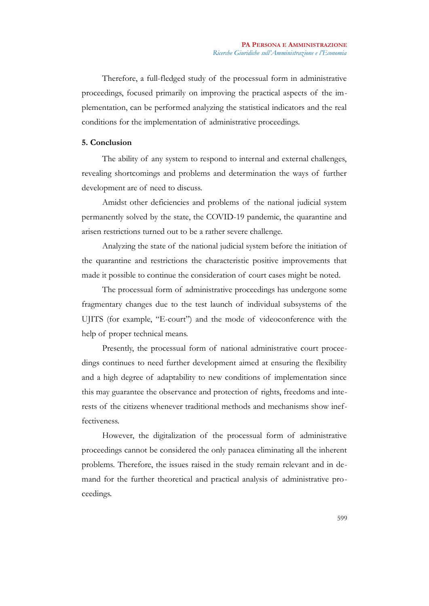Therefore, a full-fledged study of the processual form in administrative proceedings, focused primarily on improving the practical aspects of the implementation, can be performed analyzing the statistical indicators and the real conditions for the implementation of administrative proceedings.

# **5. Conclusion**

The ability of any system to respond to internal and external challenges, revealing shortcomings and problems and determination the ways of further development are of need to discuss.

Amidst other deficiencies and problems of the national judicial system permanently solved by the state, the COVID-19 pandemic, the quarantine and arisen restrictions turned out to be a rather severe challenge.

Analyzing the state of the national judicial system before the initiation of the quarantine and restrictions the characteristic positive improvements that made it possible to continue the consideration of court cases might be noted.

The processual form of administrative proceedings has undergone some fragmentary changes due to the test launch of individual subsystems of the UJITS (for example, "E-court") and the mode of videoconference with the help of proper technical means.

Presently, the processual form of national administrative court proceedings continues to need further development aimed at ensuring the flexibility and a high degree of adaptability to new conditions of implementation since this may guarantee the observance and protection of rights, freedoms and interests of the citizens whenever traditional methods and mechanisms show ineffectiveness.

However, the digitalization of the processual form of administrative proceedings cannot be considered the only panacea eliminating all the inherent problems. Therefore, the issues raised in the study remain relevant and in demand for the further theoretical and practical analysis of administrative proceedings.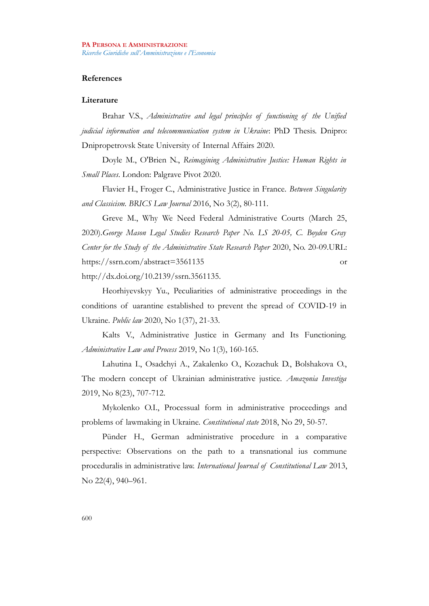# **References**

# **Literature**

Brahar V.S., *Administrative and legal principles of functioning of the Unified judicial information and telecommunication system in Ukraine*: PhD Thesis. Dnipro: Dnipropetrovsk State University of Internal Affairs 2020.

Doyle M., O'Brien N., *Reimagining Administrative Justice: Human Rights in Small Places*. London: Palgrave Pivot 2020.

Flavier H., Froger C., Administrative Justice in France. *Between Singularity and Classicism. BRICS Law Journal* 2016, No 3(2), 80-111.

Greve M., Why We Need Federal Administrative Courts (March 25, 2020).*George Mason Legal Studies Research Paper No. LS 20-05, C. Boyden Gray Center for the Study of the Administrative State Research Paper* 2020, No. 20-09.URL: https://ssrn.com/abstract=3561135 or http://dx.doi.org/10.2139/ssrn.3561135.

Heorhiyevskyy Yu., Peculiarities of administrative proceedings in the conditions of uarantine established to prevent the spread of COVID-19 in Ukraine. *Public law* 2020, No 1(37), 21-33.

Kalts V., Administrative Justice in Germany and Its Functioning. *Administrative Law and Process* 2019, No 1(3), 160-165.

Lahutina I., Osadchyi A., Zakalenko O., Kozachuk D., Bolshakova O., The modern concept of Ukrainian administrative justice. *Amazonia Investiga* 2019, No 8(23), 707-712.

Mykolenko O.I., Processual form in administrative proceedings and problems of lawmaking in Ukraine. *Constitutional state* 2018, No 29, 50-57.

Pünder H., German administrative procedure in a comparative perspective: Observations on the path to a transnational ius commune proceduralis in administrative law. *International Journal of Constitutional Law* 2013, No 22(4), 940–961.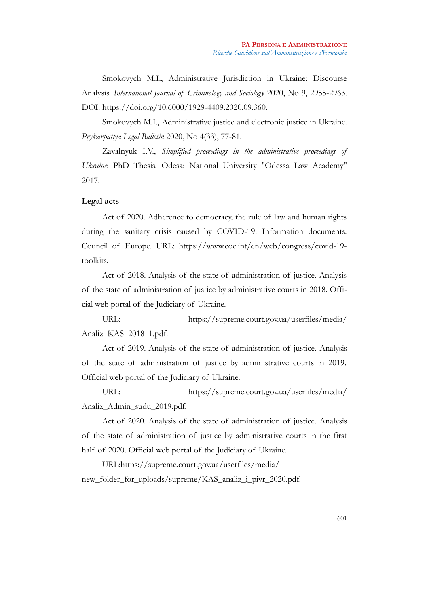Smokovych M.I., Administrative Jurisdiction in Ukraine: Discourse Analysis. *International Journal of Criminology and Sociology* 2020, No 9, 2955-2963. DOI: https://doi.org/10.6000/1929-4409.2020.09.360.

Smokovych M.I., Administrative justice and electronic justice in Ukraine. *Prykarpattya Legal Bulletin* 2020, No 4(33), 77-81.

Zavalnyuk I.V., *Simplified proceedings in the administrative proceedings of Ukraine*: PhD Thesis. Odesa: National University "Odessa Law Academy" 2017.

# **Legal acts**

Act of 2020. Adherence to democracy, the rule of law and human rights during the sanitary crisis caused by COVID-19. Information documents. Council of Europe. URL: https://www.coe.int/en/web/congress/covid-19 toolkits.

Act of 2018. Analysis of the state of administration of justice. Analysis of the state of administration of justice by administrative courts in 2018. Official web portal of the Judiciary of Ukraine.

URL: https://supreme.court.gov.ua/userfiles/media/ Analiz\_KAS\_2018\_1.pdf.

Act of 2019. Analysis of the state of administration of justice. Analysis of the state of administration of justice by administrative courts in 2019. Official web portal of the Judiciary of Ukraine.

URL: https://supreme.court.gov.ua/userfiles/media/ Analiz\_Admin\_sudu\_2019.pdf.

Act of 2020. Analysis of the state of administration of justice. Analysis of the state of administration of justice by administrative courts in the first half of 2020. Official web portal of the Judiciary of Ukraine.

URL:https://supreme.court.gov.ua/userfiles/media/ new\_folder\_for\_uploads/supreme/KAS\_analiz\_i\_pivr\_2020.pdf.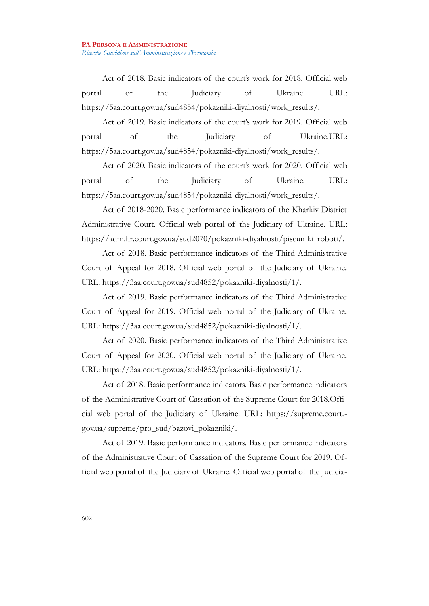Act of 2018. Basic indicators of the court's work for 2018. Official web portal of the Judiciary of Ukraine. URL: https://5aa.court.gov.ua/sud4854/pokazniki-diyalnosti/work\_results/.

Act of 2019. Basic indicators of the court's work for 2019. Official web portal of the Judiciary of Ukraine.URL: https://5aa.court.gov.ua/sud4854/pokazniki-diyalnosti/work\_results/.

Act of 2020. Basic indicators of the court's work for 2020. Official web portal of the Judiciary of Ukraine. URL: https://5aa.court.gov.ua/sud4854/pokazniki-diyalnosti/work\_results/.

Act of 2018-2020. Basic performance indicators of the Kharkiv District Administrative Court. Official web portal of the Judiciary of Ukraine. URL: https://adm.hr.court.gov.ua/sud2070/pokazniki-diyalnosti/piscumki\_roboti/.

Act of 2018. Basic performance indicators of the Third Administrative Court of Appeal for 2018. Official web portal of the Judiciary of Ukraine. URL: https://3aa.court.gov.ua/sud4852/pokazniki-diyalnosti/1/.

Act of 2019. Basic performance indicators of the Third Administrative Court of Appeal for 2019. Official web portal of the Judiciary of Ukraine. URL: https://3aa.court.gov.ua/sud4852/pokazniki-diyalnosti/1/.

Act of 2020. Basic performance indicators of the Third Administrative Court of Appeal for 2020. Official web portal of the Judiciary of Ukraine. URL: https://3aa.court.gov.ua/sud4852/pokazniki-diyalnosti/1/.

Act of 2018. Basic performance indicators. Basic performance indicators of the Administrative Court of Cassation of the Supreme Court for 2018.Official web portal of the Judiciary of Ukraine. URL: https://supreme.court. gov.ua/supreme/pro\_sud/bazovi\_pokazniki/.

Act of 2019. Basic performance indicators. Basic performance indicators of the Administrative Court of Cassation of the Supreme Court for 2019. Official web portal of the Judiciary of Ukraine. Official web portal of the Judicia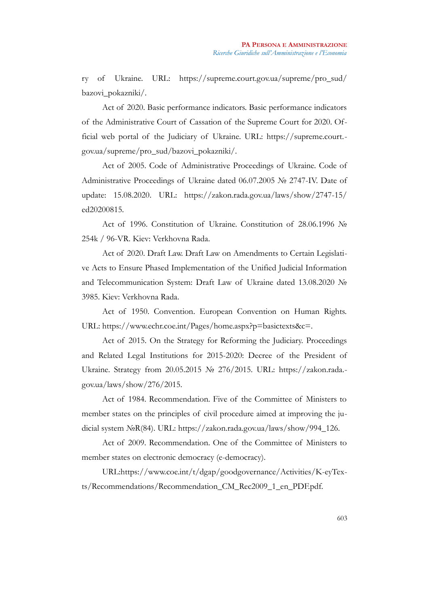ry of Ukraine. URL: https://supreme.court.gov.ua/supreme/pro\_sud/ bazovi\_pokazniki/.

Act of 2020. Basic performance indicators. Basic performance indicators of the Administrative Court of Cassation of the Supreme Court for 2020. Official web portal of the Judiciary of Ukraine. URL: https://supreme.court. gov.ua/supreme/pro\_sud/bazovi\_pokazniki/.

Act of 2005. Code of Administrative Proceedings of Ukraine. Code of Administrative Proceedings of Ukraine dated 06.07.2005 № 2747-IV. Date of update: 15.08.2020. URL: https://zakon.rada.gov.ua/laws/show/2747-15/ ed20200815.

Act of 1996. Constitution of Ukraine. Constitution of 28.06.1996 № 254k / 96-VR. Kiev: Verkhovna Rada.

Act of 2020. Draft Law. Draft Law on Amendments to Certain Legislative Acts to Ensure Phased Implementation of the Unified Judicial Information and Telecommunication System: Draft Law of Ukraine dated 13.08.2020 № 3985. Kiev: Verkhovna Rada.

Act of 1950. Convention. European Convention on Human Rights. URL: https://www.echr.coe.int/Pages/home.aspx?p=basictexts&c=.

Act of 2015. On the Strategy for Reforming the Judiciary. Proceedings and Related Legal Institutions for 2015-2020: Decree of the President of Ukraine. Strategy from 20.05.2015 № 276/2015. URL: https://zakon.rada. gov.ua/laws/show/276/2015.

Act of 1984. Recommendation. Five of the Committee of Ministers to member states on the principles of civil procedure aimed at improving the judicial system №R(84). URL: https://zakon.rada.gov.ua/laws/show/994\_126.

Act of 2009. Recommendation. One of the Committee of Ministers to member states on electronic democracy (e-democracy).

URL:https://www.coe.int/t/dgap/goodgovernance/Activities/K-eyTexts/Recommendations/Recommendation\_CM\_Rec2009\_1\_en\_PDF.pdf.